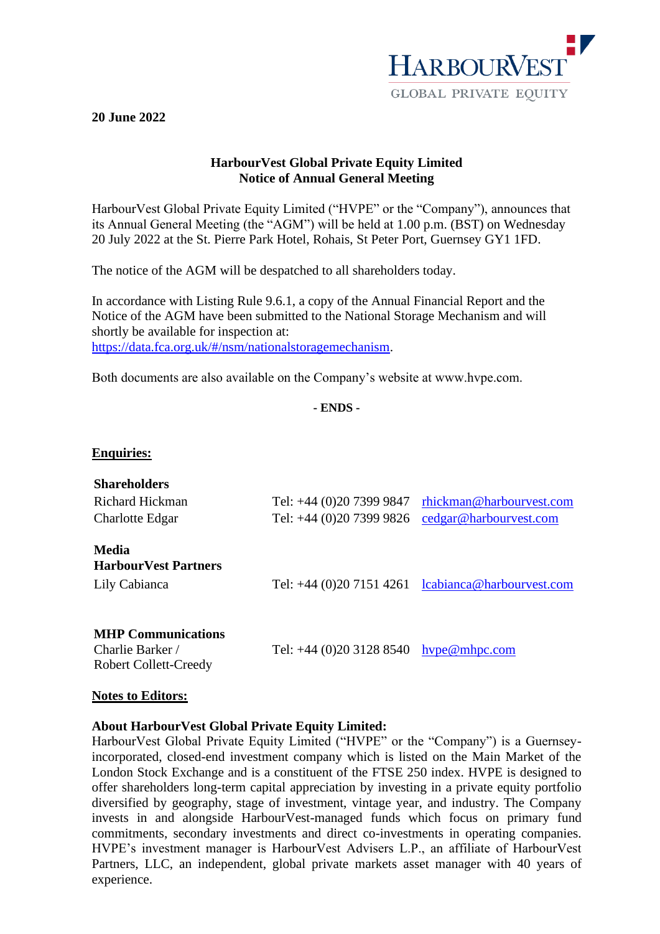

## **20 June 2022**

# **HarbourVest Global Private Equity Limited Notice of Annual General Meeting**

HarbourVest Global Private Equity Limited ("HVPE" or the "Company"), announces that its Annual General Meeting (the "AGM") will be held at 1.00 p.m. (BST) on Wednesday 20 July 2022 at the St. Pierre Park Hotel, Rohais, St Peter Port, Guernsey GY1 1FD.

The notice of the AGM will be despatched to all shareholders today.

In accordance with Listing Rule 9.6.1, a copy of the Annual Financial Report and the Notice of the AGM have been submitted to the National Storage Mechanism and will shortly be available for inspection at: [https://data.fca.org.uk/#/nsm/nationalstoragemechanism.](https://data.fca.org.uk/#/nsm/nationalstoragemechanism)

Both documents are also available on the Company's website at www.hvpe.com.

**- ENDS -**

## **Enquiries:**

| <b>Shareholders</b><br>Richard Hickman<br>Charlotte Edgar                     | Tel: +44 (0)20 7399 9847<br>Tel: +44 (0)20 7399 9826 | rhickman@harbourvest.com<br>cedgar@harbourvest.com   |
|-------------------------------------------------------------------------------|------------------------------------------------------|------------------------------------------------------|
| Media<br><b>HarbourVest Partners</b><br>Lily Cabianca                         |                                                      | Tel: $+44$ (0)20 7151 4261 lcabianca@harbourvest.com |
| <b>MHP Communications</b><br>Charlie Barker /<br><b>Robert Collett-Creedy</b> | Tel: +44 (0)20 3128 8540                             | $h$ vpe $@$ mhpc.com                                 |

## **Notes to Editors:**

## **About HarbourVest Global Private Equity Limited:**

HarbourVest Global Private Equity Limited ("HVPE" or the "Company") is a Guernseyincorporated, closed-end investment company which is listed on the Main Market of the London Stock Exchange and is a constituent of the FTSE 250 index. HVPE is designed to offer shareholders long-term capital appreciation by investing in a private equity portfolio diversified by geography, stage of investment, vintage year, and industry. The Company invests in and alongside HarbourVest-managed funds which focus on primary fund commitments, secondary investments and direct co-investments in operating companies. HVPE's investment manager is HarbourVest Advisers L.P., an affiliate of HarbourVest Partners, LLC, an independent, global private markets asset manager with 40 years of experience.